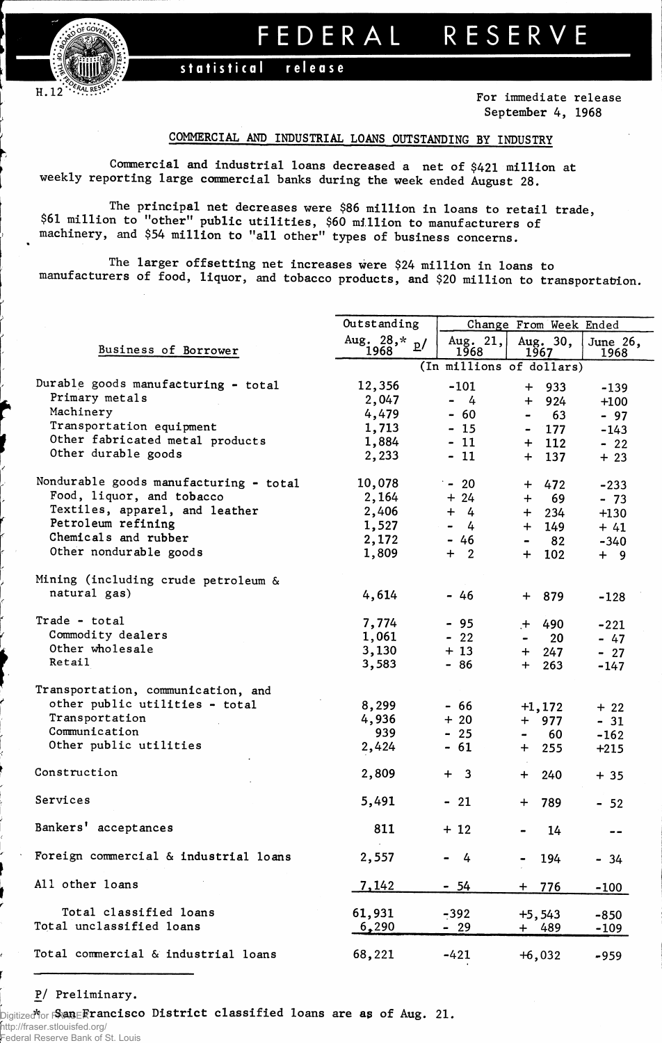

## **FEDERA L RESERV E**

statistical release

**For immediate release September 4, 1968**

## **COMMERCIAL AND INDUSTRIAL LOANS OUTSTANDING BY INDUSTRY**

**Commercial and industrial loans decreased a net of \$421 million at weekly reporting large commercial banks during the week ended August 28.**

**The principal net decreases were \$86 million in loans to retail trade, \$61 million to "other" public utilities, \$60 million to manufacturers of machinery, and \$54 million to "all other" types of business concerns.**

**The larger offsetting net increases were \$24 million in loans to manufacturers of food, liquor, and tobacco products, and \$20 million to transportation.**

|                                        | Outstanding            |                                 | Change From Week Ended             |                  |  |
|----------------------------------------|------------------------|---------------------------------|------------------------------------|------------------|--|
| Business of Borrower                   | Aug. $28, * p$<br>1968 | Aug. $21,$<br>1968              | Aug. 30,<br>1967                   | June 26,<br>1968 |  |
|                                        |                        |                                 | (In millions of dollars)           |                  |  |
| Durable goods manufacturing - total    | 12,356                 | $-101$                          | $+ 933$                            | $-139$           |  |
| Primary metals                         | 2,047                  | $-4$                            | $+ 924$                            | $+100$           |  |
| Machinery                              | 4,479                  | $-60$                           | 63<br>$\qquad \qquad \blacksquare$ | $-97$            |  |
| Transportation equipment               | 1,713                  | $-15$                           | 177<br>$\blacksquare$              | $-143$           |  |
| Other fabricated metal products        | 1,884                  | $-11$                           | 112<br>$+$                         | $-22$            |  |
| Other durable goods                    | 2,233                  | $-11$                           | 137<br>$+$                         | $+23$            |  |
| Nondurable goods manufacturing - total | 10,078                 | $-20$                           | 472<br>$+$                         | $-233$           |  |
| Food, liquor, and tobacco              | 2,164                  | $+24$                           | 69<br>$+$                          | $-73$            |  |
| Textiles, apparel, and leather         | 2,406                  | $+ 4$                           | 234<br>$+$                         | $+130$           |  |
| Petroleum refining                     | 1,527                  | $\blacksquare$<br>$\frac{4}{7}$ | 149<br>$+$                         | $+41$            |  |
| Chemicals and rubber                   | 2,172                  | $-46$                           | 82<br>$\blacksquare$               | $-340$           |  |
| Other nondurable goods                 | 1,809                  | $+2$                            | 102<br>$+$                         | $+ 9$            |  |
| Mining (including crude petroleum &    |                        |                                 |                                    |                  |  |
| natural gas)                           | 4,614                  | - 46                            | + 879                              | $-128$           |  |
| Trade - total                          | 7,774                  | $-95$                           | $+ 490$                            | $-221$           |  |
| Commodity dealers                      | 1,061                  | $-22$                           | 20<br>$\blacksquare$               | $-47$            |  |
| Other wholesale                        | 3,130                  | $+13$                           | $+ 247$                            | $-27$            |  |
| Retail                                 | 3,583                  | $-86$                           | 263<br>$+$                         | $-147$           |  |
| Transportation, communication, and     |                        |                                 |                                    |                  |  |
| other public utilities - total         | 8,299                  | - 66                            | $+1,172$                           | $+22$            |  |
| Transportation                         | 4,936                  | $+20$                           | $+$ 977                            | $-31$            |  |
| Communication                          | 939                    | $-25$                           | 60<br>$\blacksquare$               | $-162$           |  |
| Other public utilities                 | 2,424                  | $-61$                           | $+$ 255                            | $+215$           |  |
| Construction                           | 2,809                  | $+ 3$                           | $+$<br>240                         | $+35$            |  |
| Services                               | 5,491                  | $-21$                           | + 789                              | $-52$            |  |
| Bankers' acceptances                   | 811                    | $+12$                           | 14                                 | $- -$            |  |
| Foreign commercial & industrial loans  | 2,557                  | 4                               | 194                                | $-34$            |  |
| All other loans                        | 7,142                  | <u>- 54</u>                     | $+ 776$                            | -100             |  |
| Total classified loans                 | 61,931                 | $-392$                          |                                    |                  |  |
| Total unclassified loans               | 6,290                  | - 29                            | $+5,543$<br>+ 489                  | $-850$<br>$-109$ |  |
| Total commercial & industrial loans    | 68,221                 | $-421$                          | $+6,032$                           | $-959$           |  |

## **P/ Preliminary.**

Digitized **\***for FRASER **San Francisco District classified loans are as of Aug. :21.** 

http://fraser.stlouisfed.org/ Federal Reserve Bank of St. Louis